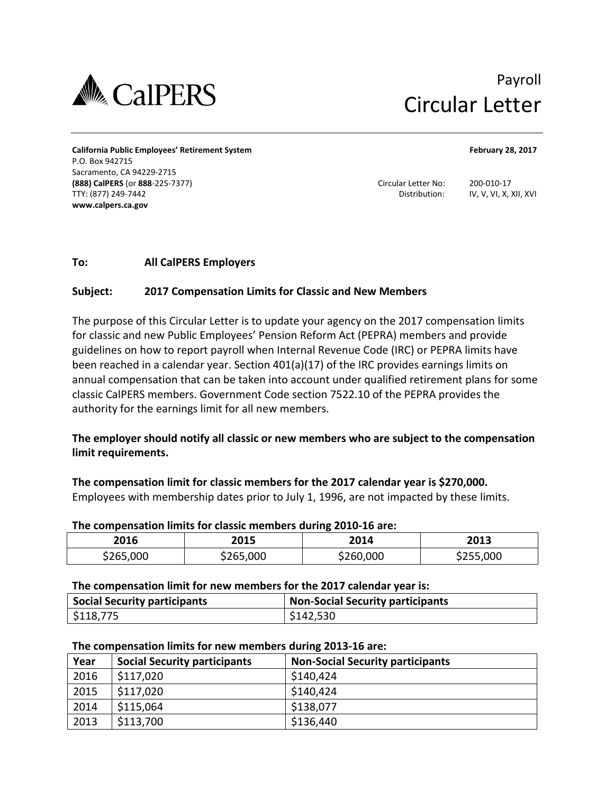

# Payroll Circular Letter

**California Public Employees' Retirement System February 28, 2017**  P.O. Box 942715 Sacramento, CA 94229-2715 **(888) CalPERS** (or **888**-225-7377) Circular Letter No: 200-010-17 TTY: (877) 249-7442 Distribution: IV, V, VI, X, XII, XVI **[www.calpers.ca.gov](http://www.calpers.ca.gov)**

# **To: All CalPERS Employers**

# **Subject: 2017 Compensation Limits for Classic and New Members**

The purpose of this Circular Letter is to update your agency on the 2017 compensation limits for classic and new Public Employees' Pension Reform Act (PEPRA) members and provide guidelines on how to report payroll when Internal Revenue Code (IRC) or PEPRA limits have been reached in a calendar year. Section 401(a)(17) of the IRC provides earnings limits on annual compensation that can be taken into account under qualified retirement plans for some classic CalPERS members. Government Code section 7522.10 of the PEPRA provides the authority for the earnings limit for all new members.

**The employer should notify all classic or new members who are subject to the compensation limit requirements.** 

**The compensation limit for classic members for the 2017 calendar year is \$270,000.** Employees with membership dates prior to July 1, 1996, are not impacted by these limits.

### **The compensation limits for classic members during 2010-16 are:**

| 2016      | 2015      | 2014      | 2013      |
|-----------|-----------|-----------|-----------|
| \$265,000 | \$265,000 | \$260,000 | \$255,000 |

### **The compensation limit for new members for the 2017 calendar year is:**

| <b>Social Security participants</b> | <b>Non-Social Security participants</b> |
|-------------------------------------|-----------------------------------------|
| \$118,775                           | \$142,530                               |

## **The compensation limits for new members during 2013-16 are:**

| Year | <b>Social Security participants</b> | <b>Non-Social Security participants</b> |
|------|-------------------------------------|-----------------------------------------|
| 2016 | \$117,020                           | \$140,424                               |
| 2015 | \$117,020                           | \$140,424                               |
| 2014 | \$115,064                           | \$138,077                               |
| 2013 | \$113,700                           | \$136,440                               |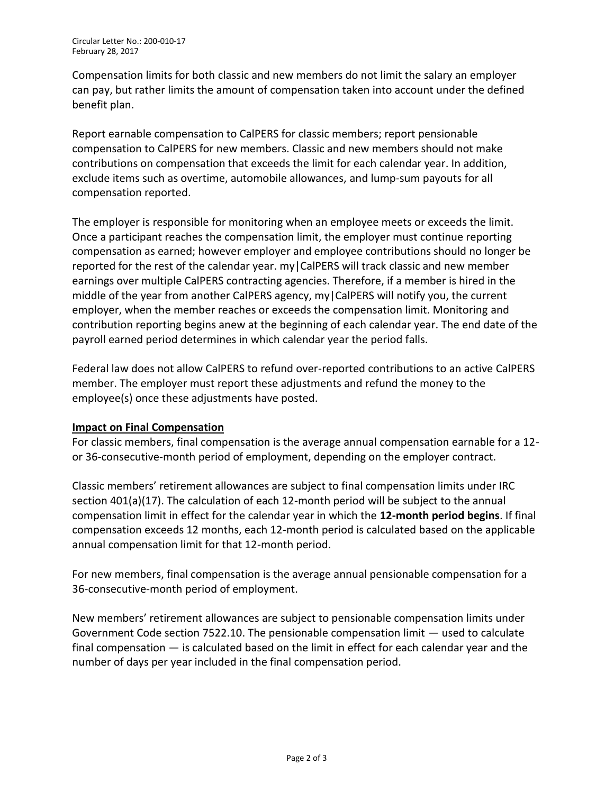Compensation limits for both classic and new members do not limit the salary an employer can pay, but rather limits the amount of compensation taken into account under the defined benefit plan.

Report earnable compensation to CalPERS for classic members; report pensionable compensation to CalPERS for new members. Classic and new members should not make contributions on compensation that exceeds the limit for each calendar year. In addition, exclude items such as overtime, automobile allowances, and lump-sum payouts for all compensation reported.

The employer is responsible for monitoring when an employee meets or exceeds the limit. Once a participant reaches the compensation limit, the employer must continue reporting compensation as earned; however employer and employee contributions should no longer be reported for the rest of the calendar year. my|CalPERS will track classic and new member earnings over multiple CalPERS contracting agencies. Therefore, if a member is hired in the middle of the year from another CalPERS agency, my|CalPERS will notify you, the current employer, when the member reaches or exceeds the compensation limit. Monitoring and contribution reporting begins anew at the beginning of each calendar year. The end date of the payroll earned period determines in which calendar year the period falls.

Federal law does not allow CalPERS to refund over-reported contributions to an active CalPERS member. The employer must report these adjustments and refund the money to the employee(s) once these adjustments have posted.

# **Impact on Final Compensation**

For classic members, final compensation is the average annual compensation earnable for a 12 or 36-consecutive-month period of employment, depending on the employer contract.

Classic members' retirement allowances are subject to final compensation limits under IRC section 401(a)(17). The calculation of each 12-month period will be subject to the annual compensation limit in effect for the calendar year in which the **12-month period begins**. If final compensation exceeds 12 months, each 12-month period is calculated based on the applicable annual compensation limit for that 12-month period.

For new members, final compensation is the average annual pensionable compensation for a 36-consecutive-month period of employment.

New members' retirement allowances are subject to pensionable compensation limits under Government Code section 7522.10. The pensionable compensation limit — used to calculate final compensation — is calculated based on the limit in effect for each calendar year and the number of days per year included in the final compensation period.